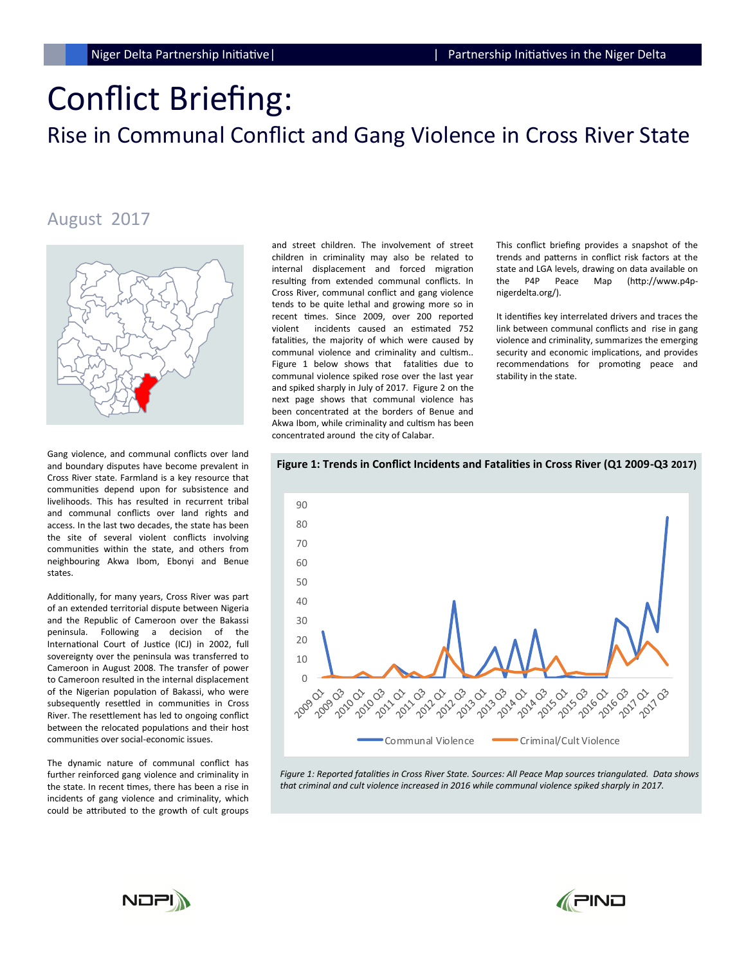# Conflict Briefing: Rise in Communal Conflict and Gang Violence in Cross River State

### August 2017



Gang violence, and communal conflicts over land and boundary disputes have become prevalent in Cross River state. Farmland is a key resource that communities depend upon for subsistence and livelihoods. This has resulted in recurrent tribal and communal conflicts over land rights and access. In the last two decades, the state has been the site of several violent conflicts involving communities within the state, and others from neighbouring Akwa Ibom, Ebonyi and Benue states.

Additionally, for many years, Cross River was part of an extended territorial dispute between Nigeria and the Republic of Cameroon over the Bakassi peninsula. Following a decision of the International Court of Justice (ICJ) in 2002, full sovereignty over the peninsula was transferred to Cameroon in August 2008. The transfer of power to Cameroon resulted in the internal displacement of the Nigerian population of Bakassi, who were subsequently resettled in communities in Cross River. The resettlement has led to ongoing conflict between the relocated populations and their host communities over social-economic issues.

The dynamic nature of communal conflict has further reinforced gang violence and criminality in the state. In recent times, there has been a rise in incidents of gang violence and criminality, which could be attributed to the growth of cult groups and street children. The involvement of street children in criminality may also be related to internal displacement and forced migration resulting from extended communal conflicts. In Cross River, communal conflict and gang violence tends to be quite lethal and growing more so in recent times. Since 2009, over 200 reported violent incidents caused an estimated 752 fatalities, the majority of which were caused by communal violence and criminality and cultism.. Figure 1 below shows that fatalities due to communal violence spiked rose over the last year and spiked sharply in July of 2017. Figure 2 on the next page shows that communal violence has been concentrated at the borders of Benue and Akwa Ibom, while criminality and cultism has been concentrated around the city of Calabar.

This conflict briefing provides a snapshot of the trends and patterns in conflict risk factors at the state and LGA levels, drawing on data available on the P4P Peace Map (http://www.p4pnigerdelta.org/).

It identifies key interrelated drivers and traces the link between communal conflicts and rise in gang violence and criminality, summarizes the emerging security and economic implications, and provides recommendations for promoting peace and stability in the state.





*Figure 1: Reported fatalities in Cross River State. Sources: All Peace Map sources triangulated. Data shows that criminal and cult violence increased in 2016 while communal violence spiked sharply in 2017.*



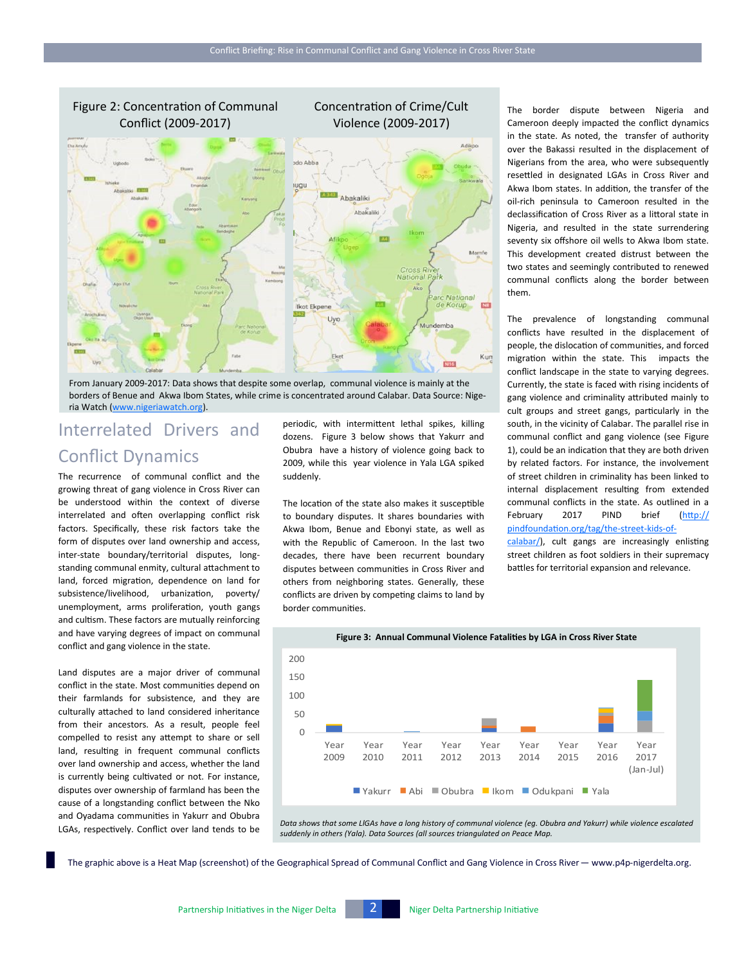

From January 2009-2017: Data shows that despite some overlap, communal violence is mainly at the borders of Benue and Akwa Ibom States, while crime is concentrated around Calabar. Data Source: Nigeria Watch [\(www.nigeriawatch.org\).](http://www.nigeriawatch.org)

# Interrelated Drivers and Conflict Dynamics

The recurrence of communal conflict and the growing threat of gang violence in Cross River can be understood within the context of diverse interrelated and often overlapping conflict risk factors. Specifically, these risk factors take the form of disputes over land ownership and access, inter-state boundary/territorial disputes, longstanding communal enmity, cultural attachment to land, forced migration, dependence on land for subsistence/livelihood, urbanization, poverty/ unemployment, arms proliferation, youth gangs and cultism. These factors are mutually reinforcing and have varying degrees of impact on communal conflict and gang violence in the state.

Land disputes are a major driver of communal conflict in the state. Most communities depend on their farmlands for subsistence, and they are culturally attached to land considered inheritance from their ancestors. As a result, people feel compelled to resist any attempt to share or sell land, resulting in frequent communal conflicts over land ownership and access, whether the land is currently being cultivated or not. For instance, disputes over ownership of farmland has been the cause of a longstanding conflict between the Nko and Oyadama communities in Yakurr and Obubra LGAs, respectively. Conflict over land tends to be

periodic, with intermittent lethal spikes, killing dozens. Figure 3 below shows that Yakurr and Obubra have a history of violence going back to 2009, while this year violence in Yala LGA spiked suddenly.

The location of the state also makes it susceptible to boundary disputes. It shares boundaries with Akwa Ibom, Benue and Ebonyi state, as well as with the Republic of Cameroon. In the last two decades, there have been recurrent boundary disputes between communities in Cross River and others from neighboring states. Generally, these conflicts are driven by competing claims to land by border communities.

The border dispute between Nigeria and Cameroon deeply impacted the conflict dynamics in the state. As noted, the transfer of authority over the Bakassi resulted in the displacement of Nigerians from the area, who were subsequently resettled in designated LGAs in Cross River and Akwa Ibom states. In addition, the transfer of the oil-rich peninsula to Cameroon resulted in the declassification of Cross River as a littoral state in Nigeria, and resulted in the state surrendering seventy six offshore oil wells to Akwa Ibom state. This development created distrust between the two states and seemingly contributed to renewed communal conflicts along the border between them.

The prevalence of longstanding communal conflicts have resulted in the displacement of people, the dislocation of communities, and forced migration within the state. This impacts the conflict landscape in the state to varying degrees. Currently, the state is faced with rising incidents of gang violence and criminality attributed mainly to cult groups and street gangs, particularly in the south, in the vicinity of Calabar. The parallel rise in communal conflict and gang violence (see Figure 1), could be an indication that they are both driven by related factors. For instance, the involvement of street children in criminality has been linked to internal displacement resulting from extended communal conflicts in the state. As outlined in a February 2017 PIND brief [\(http://](http://pindfoundation.org/tag/the-street-kids-of-calabar/) [pindfoundation.org/tag/the](http://pindfoundation.org/tag/the-street-kids-of-calabar/)-street-kids-of-

[calabar/\),](http://pindfoundation.org/tag/the-street-kids-of-calabar/) cult gangs are increasingly enlisting street children as foot soldiers in their supremacy battles for territorial expansion and relevance.



*Data shows that some LlGAs have a long history of communal violence (eg. Obubra and Yakurr) while violence escalated suddenly in others (Yala). Data Sources (all sources triangulated on Peace Map.*

The graphic above is a Heat Map (screenshot) of the Geographical Spread of Communal Conflict and Gang Violence in Cross River— www.p4p-nigerdelta.org.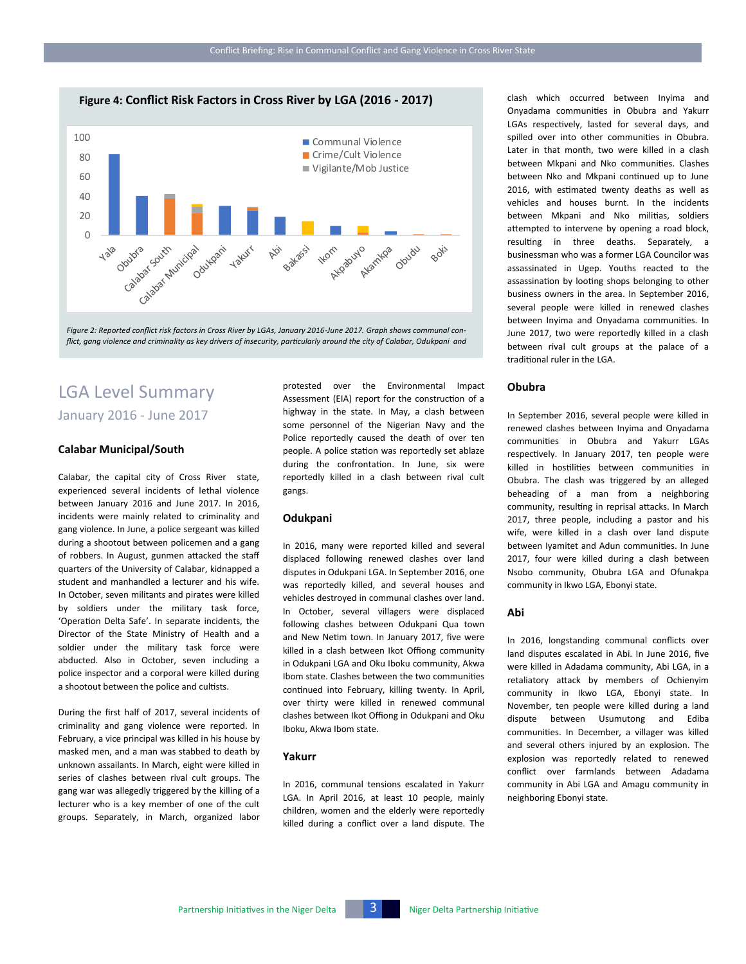**Figure 4: Conflict Risk Factors in Cross River by LGA (2016 - 2017)**



*Figure 2: Reported conflict risk factors in Cross River by LGAs, January 2016-June 2017. Graph shows communal conflict, gang violence and criminality as key drivers of insecurity, particularly around the city of Calabar, Odukpani and* 

# LGA Level Summary January 2016 - June 2017

#### **Calabar Municipal/South**

Calabar, the capital city of Cross River state, experienced several incidents of lethal violence between January 2016 and June 2017. In 2016, incidents were mainly related to criminality and gang violence. In June, a police sergeant was killed during a shootout between policemen and a gang of robbers. In August, gunmen attacked the staff quarters of the University of Calabar, kidnapped a student and manhandled a lecturer and his wife. In October, seven militants and pirates were killed by soldiers under the military task force, 'Operation Delta Safe'. In separate incidents, the Director of the State Ministry of Health and a soldier under the military task force were abducted. Also in October, seven including a police inspector and a corporal were killed during a shootout between the police and cultists.

During the first half of 2017, several incidents of criminality and gang violence were reported. In February, a vice principal was killed in his house by masked men, and a man was stabbed to death by unknown assailants. In March, eight were killed in series of clashes between rival cult groups. The gang war was allegedly triggered by the killing of a lecturer who is a key member of one of the cult groups. Separately, in March, organized labor

protested over the Environmental Impact Assessment (EIA) report for the construction of a highway in the state. In May, a clash between some personnel of the Nigerian Navy and the Police reportedly caused the death of over ten people. A police station was reportedly set ablaze during the confrontation. In June, six were reportedly killed in a clash between rival cult gangs.

#### **Odukpani**

In 2016, many were reported killed and several displaced following renewed clashes over land disputes in Odukpani LGA. In September 2016, one was reportedly killed, and several houses and vehicles destroyed in communal clashes over land. In October, several villagers were displaced following clashes between Odukpani Qua town and New Netim town. In January 2017, five were killed in a clash between Ikot Offiong community in Odukpani LGA and Oku Iboku community, Akwa Ibom state. Clashes between the two communities continued into February, killing twenty. In April, over thirty were killed in renewed communal clashes between Ikot Offiong in Odukpani and Oku Iboku, Akwa Ibom state.

#### **Yakurr**

In 2016, communal tensions escalated in Yakurr LGA. In April 2016, at least 10 people, mainly children, women and the elderly were reportedly killed during a conflict over a land dispute. The clash which occurred between Inyima and Onyadama communities in Obubra and Yakurr LGAs respectively, lasted for several days, and spilled over into other communities in Obubra. Later in that month, two were killed in a clash between Mkpani and Nko communities. Clashes between Nko and Mkpani continued up to June 2016, with estimated twenty deaths as well as vehicles and houses burnt. In the incidents between Mkpani and Nko militias, soldiers attempted to intervene by opening a road block, resulting in three deaths. Separately, a businessman who was a former LGA Councilor was assassinated in Ugep. Youths reacted to the assassination by looting shops belonging to other business owners in the area. In September 2016, several people were killed in renewed clashes between Inyima and Onyadama communities. In June 2017, two were reportedly killed in a clash between rival cult groups at the palace of a traditional ruler in the LGA.

#### **Obubra**

In September 2016, several people were killed in renewed clashes between Inyima and Onyadama communities in Obubra and Yakurr LGAs respectively. In January 2017, ten people were killed in hostilities between communities in Obubra. The clash was triggered by an alleged beheading of a man from a neighboring community, resulting in reprisal attacks. In March 2017, three people, including a pastor and his wife, were killed in a clash over land dispute between Iyamitet and Adun communities. In June 2017, four were killed during a clash between Nsobo community, Obubra LGA and Ofunakpa community in Ikwo LGA, Ebonyi state.

#### **Abi**

In 2016, longstanding communal conflicts over land disputes escalated in Abi. In June 2016, five were killed in Adadama community, Abi LGA, in a retaliatory attack by members of Ochienyim community in Ikwo LGA, Ebonyi state. In November, ten people were killed during a land dispute between Usumutong and Ediba communities. In December, a villager was killed and several others injured by an explosion. The explosion was reportedly related to renewed conflict over farmlands between Adadama community in Abi LGA and Amagu community in neighboring Ebonyi state.